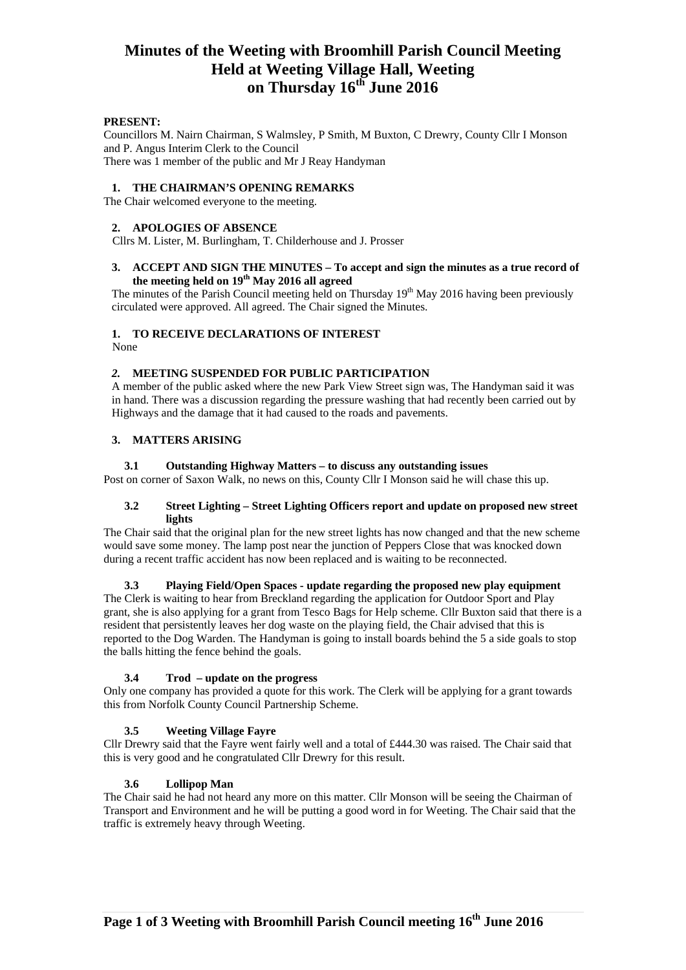# **Minutes of the Weeting with Broomhill Parish Council Meeting Held at Weeting Village Hall, Weeting on Thursday 16th June 2016**

# **PRESENT:**

Councillors M. Nairn Chairman, S Walmsley, P Smith, M Buxton, C Drewry, County Cllr I Monson and P. Angus Interim Clerk to the Council There was 1 member of the public and Mr J Reay Handyman

#### **1. THE CHAIRMAN'S OPENING REMARKS**

The Chair welcomed everyone to the meeting.

# **2. APOLOGIES OF ABSENCE**

Cllrs M. Lister, M. Burlingham, T. Childerhouse and J. Prosser

#### **3. ACCEPT AND SIGN THE MINUTES – To accept and sign the minutes as a true record of**  the meeting held on 19<sup>th</sup> May 2016 all agreed

The minutes of the Parish Council meeting held on Thursday 19<sup>th</sup> May 2016 having been previously circulated were approved. All agreed. The Chair signed the Minutes.

# **1. TO RECEIVE DECLARATIONS OF INTEREST**

None

# *2.* **MEETING SUSPENDED FOR PUBLIC PARTICIPATION**

A member of the public asked where the new Park View Street sign was, The Handyman said it was in hand. There was a discussion regarding the pressure washing that had recently been carried out by Highways and the damage that it had caused to the roads and pavements.

# **3. MATTERS ARISING**

# **3.1 Outstanding Highway Matters – to discuss any outstanding issues**

Post on corner of Saxon Walk, no news on this, County Cllr I Monson said he will chase this up.

#### **3.2 Street Lighting – Street Lighting Officers report and update on proposed new street lights**

The Chair said that the original plan for the new street lights has now changed and that the new scheme would save some money. The lamp post near the junction of Peppers Close that was knocked down during a recent traffic accident has now been replaced and is waiting to be reconnected.

# **3.3 Playing Field/Open Spaces - update regarding the proposed new play equipment**

The Clerk is waiting to hear from Breckland regarding the application for Outdoor Sport and Play grant, she is also applying for a grant from Tesco Bags for Help scheme. Cllr Buxton said that there is a resident that persistently leaves her dog waste on the playing field, the Chair advised that this is reported to the Dog Warden. The Handyman is going to install boards behind the 5 a side goals to stop the balls hitting the fence behind the goals.

# **3.4 Trod – update on the progress**

Only one company has provided a quote for this work. The Clerk will be applying for a grant towards this from Norfolk County Council Partnership Scheme.

# **3.5 Weeting Village Fayre**

Cllr Drewry said that the Fayre went fairly well and a total of £444.30 was raised. The Chair said that this is very good and he congratulated Cllr Drewry for this result.

# **3.6 Lollipop Man**

The Chair said he had not heard any more on this matter. Cllr Monson will be seeing the Chairman of Transport and Environment and he will be putting a good word in for Weeting. The Chair said that the traffic is extremely heavy through Weeting.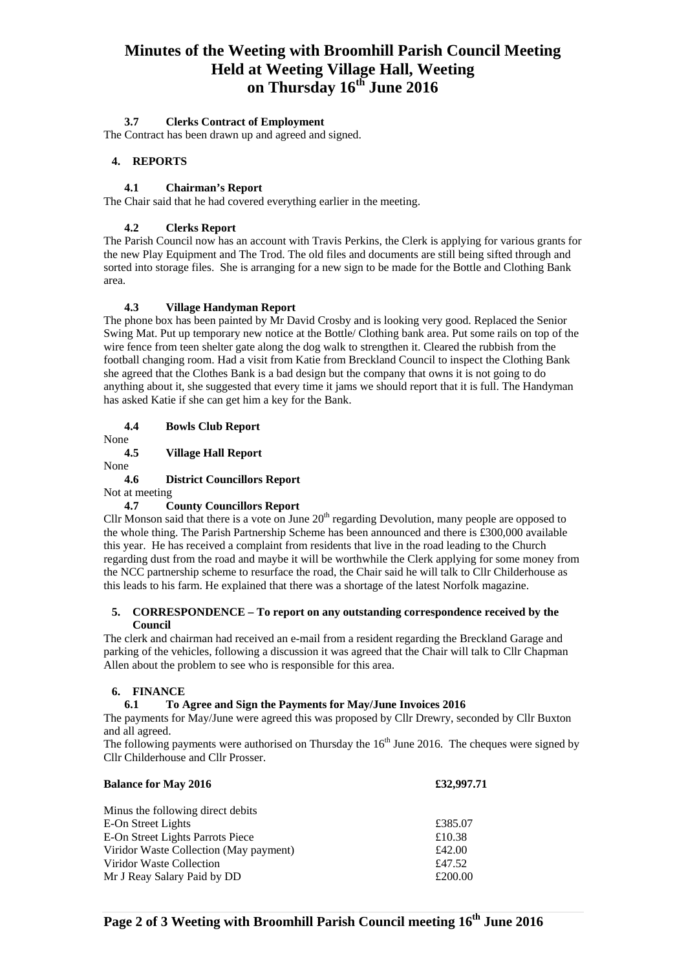# **Minutes of the Weeting with Broomhill Parish Council Meeting Held at Weeting Village Hall, Weeting on Thursday 16th June 2016**

# **3.7 Clerks Contract of Employment**

The Contract has been drawn up and agreed and signed.

# **4. REPORTS**

# **4.1 Chairman's Report**

The Chair said that he had covered everything earlier in the meeting.

# **4.2 Clerks Report**

The Parish Council now has an account with Travis Perkins, the Clerk is applying for various grants for the new Play Equipment and The Trod. The old files and documents are still being sifted through and sorted into storage files. She is arranging for a new sign to be made for the Bottle and Clothing Bank area.

# **4.3 Village Handyman Report**

The phone box has been painted by Mr David Crosby and is looking very good. Replaced the Senior Swing Mat. Put up temporary new notice at the Bottle/ Clothing bank area. Put some rails on top of the wire fence from teen shelter gate along the dog walk to strengthen it. Cleared the rubbish from the football changing room. Had a visit from Katie from Breckland Council to inspect the Clothing Bank she agreed that the Clothes Bank is a bad design but the company that owns it is not going to do anything about it, she suggested that every time it jams we should report that it is full. The Handyman has asked Katie if she can get him a key for the Bank.

**4.4 Bowls Club Report** 

#### None **4.5 Village Hall Report**

None

# **4.6 District Councillors Report**

Not at meeting

# **4.7 County Councillors Report**

Cllr Monson said that there is a vote on June  $20<sup>th</sup>$  regarding Devolution, many people are opposed to the whole thing. The Parish Partnership Scheme has been announced and there is £300,000 available this year. He has received a complaint from residents that live in the road leading to the Church regarding dust from the road and maybe it will be worthwhile the Clerk applying for some money from the NCC partnership scheme to resurface the road, the Chair said he will talk to Cllr Childerhouse as this leads to his farm. He explained that there was a shortage of the latest Norfolk magazine.

# **5. CORRESPONDENCE – To report on any outstanding correspondence received by the Council**

The clerk and chairman had received an e-mail from a resident regarding the Breckland Garage and parking of the vehicles, following a discussion it was agreed that the Chair will talk to Cllr Chapman Allen about the problem to see who is responsible for this area.

# **6. FINANCE**

# **6.1 To Agree and Sign the Payments for May/June Invoices 2016**

The payments for May/June were agreed this was proposed by Cllr Drewry, seconded by Cllr Buxton and all agreed.

The following payments were authorised on Thursday the  $16<sup>th</sup>$  June 2016. The cheques were signed by Cllr Childerhouse and Cllr Prosser.

| <b>Balance for May 2016</b>            | £32,997.71 |  |
|----------------------------------------|------------|--|
| Minus the following direct debits      |            |  |
| E-On Street Lights                     | £385.07    |  |
| E-On Street Lights Parrots Piece       | £10.38     |  |
| Viridor Waste Collection (May payment) | £42.00     |  |
| Viridor Waste Collection               | £47.52     |  |
| Mr J Reay Salary Paid by DD            | £200.00    |  |